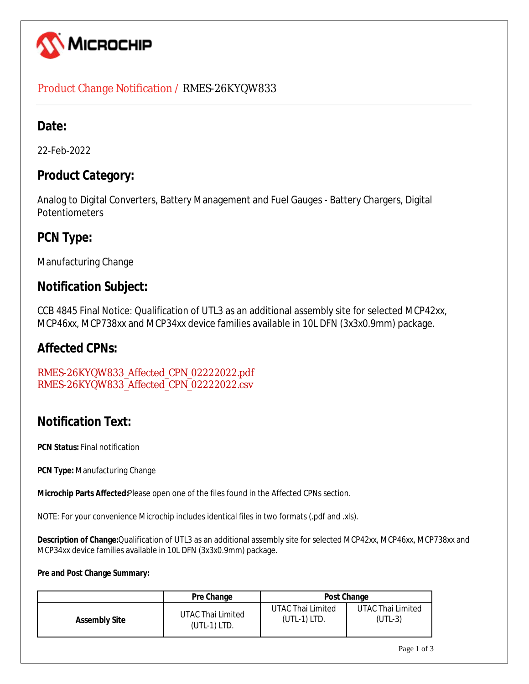

### Product Change Notification / RMES-26KYQW833

### **Date:**

22-Feb-2022

### **Product Category:**

Analog to Digital Converters, Battery Management and Fuel Gauges - Battery Chargers, Digital Potentiometers

## **PCN Type:**

Manufacturing Change

### **Notification Subject:**

CCB 4845 Final Notice: Qualification of UTL3 as an additional assembly site for selected MCP42xx, MCP46xx, MCP738xx and MCP34xx device families available in 10L DFN (3x3x0.9mm) package.

### **Affected CPNs:**

RMES-26KYQW833\_Affected\_CPN\_02222022.pdf RMES-26KYQW833\_Affected\_CPN\_02222022.csv

# **Notification Text:**

**PCN Status: Final notification** 

**PCN Type:** Manufacturing Change

**Microchip Parts Affected:**Please open one of the files found in the Affected CPNs section.

NOTE: For your convenience Microchip includes identical files in two formats (.pdf and .xls).

**Description of Change:**Qualification of UTL3 as an additional assembly site for selected MCP42xx, MCP46xx, MCP738xx and MCP34xx device families available in 10L DFN (3x3x0.9mm) package.

### **Pre and Post Change Summary:**

|                      | Pre Change        | Post Change       |                   |  |  |
|----------------------|-------------------|-------------------|-------------------|--|--|
| <b>Assembly Site</b> | UTAC Thai Limited | UTAC Thai Limited | UTAC Thai Limited |  |  |
|                      | $(UTL-1)$ LTD.    | $(UTL-1)$ LTD.    | (UTL-3)           |  |  |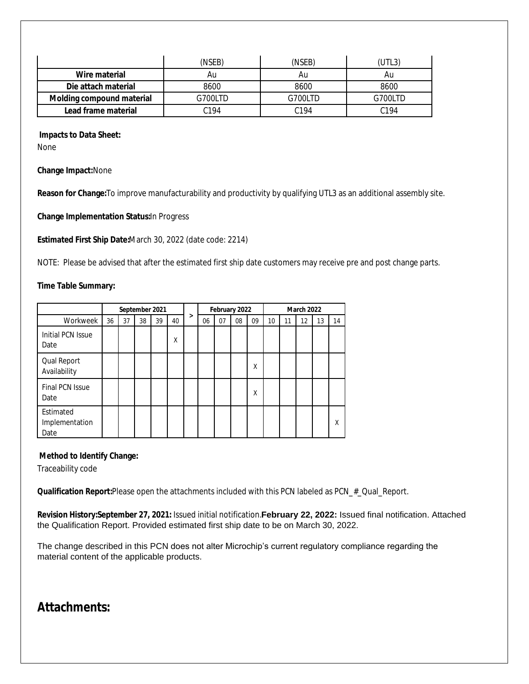|                           | (NSEB)  | (NSEB)           | UTL3)   |
|---------------------------|---------|------------------|---------|
| Wire material             | Au      | Au               | Au      |
| Die attach material       | 8600    | 8600             | 8600    |
| Molding compound material | G700LTD | G700LTD          | G700LTD |
| Lead frame material       | C194    | C <sub>194</sub> | C194    |

#### **Impacts to Data Sheet:**

None

**Change Impact:**None

**Reason for Change:**To improve manufacturability and productivity by qualifying UTL3 as an additional assembly site.

**Change Implementation Status:**In Progress

**Estimated First Ship Date:**March 30, 2022 (date code: 2214)

NOTE: Please be advised that after the estimated first ship date customers may receive pre and post change parts.

#### **Time Table Summary:**

|                                     | September 2021 |    |    |    | February 2022 |   |    | <b>March 2022</b> |    |    |    |    |    |    |    |
|-------------------------------------|----------------|----|----|----|---------------|---|----|-------------------|----|----|----|----|----|----|----|
| Workweek                            | 36             | 37 | 38 | 39 | 40            | > | 06 | 07                | 08 | 09 | 10 | 11 | 12 | 13 | 14 |
| Initial PCN Issue<br>Date           |                |    |    |    | X             |   |    |                   |    |    |    |    |    |    |    |
| Qual Report<br>Availability         |                |    |    |    |               |   |    |                   |    | Χ  |    |    |    |    |    |
| Final PCN Issue<br>Date             |                |    |    |    |               |   |    |                   |    | Χ  |    |    |    |    |    |
| Estimated<br>Implementation<br>Date |                |    |    |    |               |   |    |                   |    |    |    |    |    |    | χ  |

#### **Method to Identify Change:**

Traceability code

**Qualification Report:**Please open the attachments included with this PCN labeled as PCN\_#\_Qual\_Report.

**Revision History:September 27, 2021:** Issued initial notification.**February 22, 2022:** Issued final notification. Attached the Qualification Report. Provided estimated first ship date to be on March 30, 2022.

The change described in this PCN does not alter Microchip's current regulatory compliance regarding the material content of the applicable products.

## **Attachments:**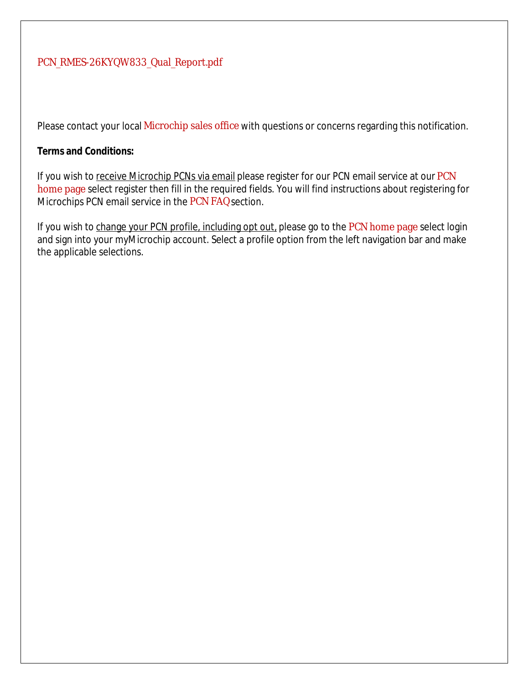### PCN\_RMES-26KYQW833\_Qual\_Report.pdf

Please contact your local Microchip sales office with questions or concerns regarding this notification.

### **Terms and Conditions:**

If you wish to receive Microchip PCNs via email please register for our PCN email service at our PCN home page select register then fill in the required fields. You will find instructions about registering for Microchips PCN email service in the PCN FAQ section.

If you wish to change your PCN profile, including opt out, please go to the PCN home page select login and sign into your myMicrochip account. Select a profile option from the left navigation bar and make the applicable selections.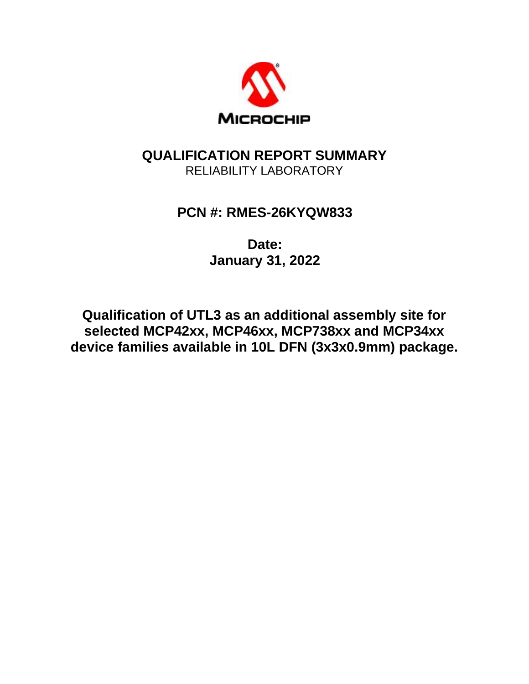

## **QUALIFICATION REPORT SUMMARY** RELIABILITY LABORATORY

# **PCN #: RMES-26KYQW833**

**Date: January 31, 2022**

**Qualification of UTL3 as an additional assembly site for selected MCP42xx, MCP46xx, MCP738xx and MCP34xx device families available in 10L DFN (3x3x0.9mm) package.**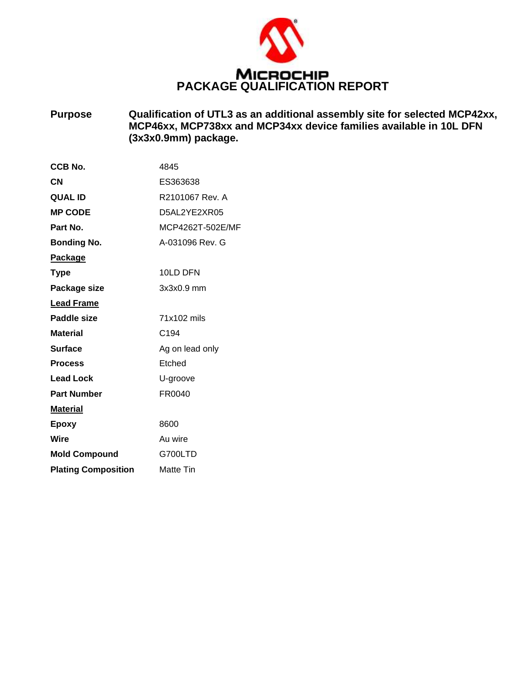

**Purpose Qualification of UTL3 as an additional assembly site for selected MCP42xx, MCP46xx, MCP738xx and MCP34xx device families available in 10L DFN (3x3x0.9mm) package.**

| CCB No.                    | 4845             |
|----------------------------|------------------|
| CN                         | ES363638         |
| <b>QUAL ID</b>             | R2101067 Rev. A  |
| <b>MP CODE</b>             | D5AL2YE2XR05     |
| Part No.                   | MCP4262T-502E/MF |
| <b>Bonding No.</b>         | A-031096 Rev. G  |
| <u>Package</u>             |                  |
| <b>Type</b>                | 10LD DFN         |
| Package size               | 3x3x0.9 mm       |
| <b>Lead Frame</b>          |                  |
| Paddle size                | 71x102 mils      |
| <b>Material</b>            | C <sub>194</sub> |
| <b>Surface</b>             | Ag on lead only  |
| <b>Process</b>             | Etched           |
| <b>Lead Lock</b>           | U-groove         |
| <b>Part Number</b>         | FR0040           |
| <b>Material</b>            |                  |
| Epoxy                      | 8600             |
| Wire                       | Au wire          |
| <b>Mold Compound</b>       | G700LTD          |
| <b>Plating Composition</b> | Matte Tin        |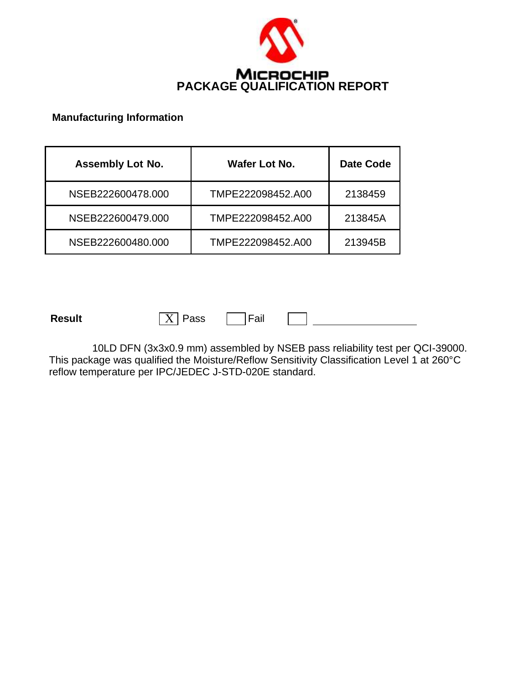

### **Manufacturing Information**

| <b>Assembly Lot No.</b> | Wafer Lot No.     | <b>Date Code</b> |
|-------------------------|-------------------|------------------|
| NSEB222600478,000       | TMPE222098452.A00 | 2138459          |
| NSEB222600479.000       | TMPE222098452.A00 | 213845A          |
| NSEB222600480.000       | TMPE222098452.A00 | 213945B          |

**Result**  $\boxed{X}$  Pass  $\boxed{\phantom{0}}$  Fail

10LD DFN (3x3x0.9 mm) assembled by NSEB pass reliability test per QCI-39000. This package was qualified the Moisture/Reflow Sensitivity Classification Level 1 at 260°C reflow temperature per IPC/JEDEC J-STD-020E standard.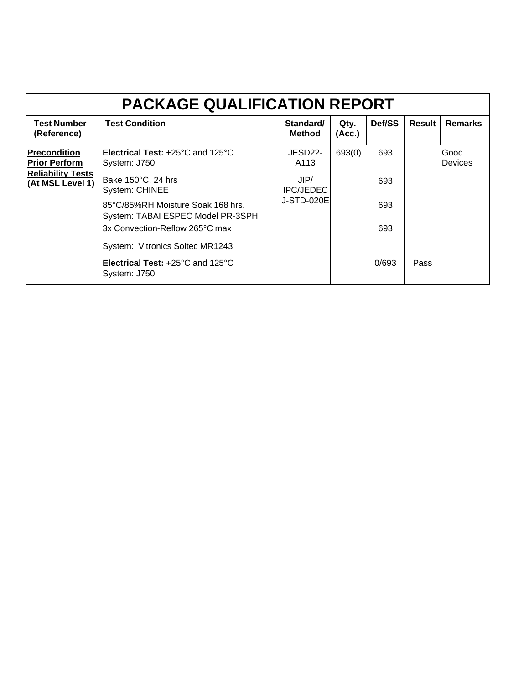| <b>PACKAGE QUALIFICATION REPORT</b>          |                                                                        |                            |                |        |        |                        |  |  |  |
|----------------------------------------------|------------------------------------------------------------------------|----------------------------|----------------|--------|--------|------------------------|--|--|--|
| <b>Test Number</b><br>(Reference)            | <b>Test Condition</b>                                                  | Standard/<br><b>Method</b> | Qty.<br>(Acc.) | Def/SS | Result | <b>Remarks</b>         |  |  |  |
| <b>Precondition</b><br><b>Prior Perform</b>  | <b>Electrical Test: +25 °C and 125 °C</b><br>System: J750              | JESD22-<br>A113            | 693(0)         | 693    |        | Good<br><b>Devices</b> |  |  |  |
| <b>Reliability Tests</b><br>(At MSL Level 1) | Bake 150°C, 24 hrs<br><b>System: CHINEE</b>                            | JIP/<br><b>IPC/JEDEC</b>   |                | 693    |        |                        |  |  |  |
|                                              | 85°C/85%RH Moisture Soak 168 hrs.<br>System: TABAI ESPEC Model PR-3SPH | <b>J-STD-020E</b>          |                | 693    |        |                        |  |  |  |
|                                              | 3x Convection-Reflow 265°C max<br>System: Vitronics Soltec MR1243      |                            |                | 693    |        |                        |  |  |  |
|                                              | Electrical Test: +25°C and 125°C<br>System: J750                       |                            |                | 0/693  | Pass   |                        |  |  |  |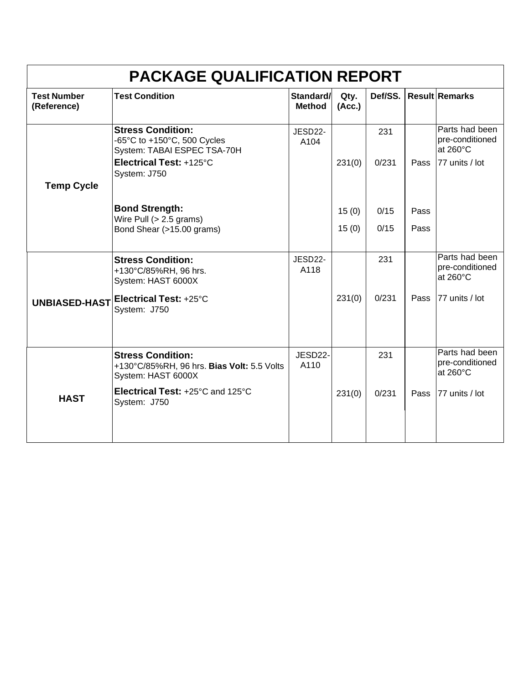| <b>PACKAGE QUALIFICATION REPORT</b> |                                                                                              |                            |                |         |      |                                               |  |  |
|-------------------------------------|----------------------------------------------------------------------------------------------|----------------------------|----------------|---------|------|-----------------------------------------------|--|--|
| <b>Test Number</b><br>(Reference)   | <b>Test Condition</b>                                                                        | Standard/<br><b>Method</b> | Qty.<br>(Acc.) | Def/SS. |      | <b>Result Remarks</b>                         |  |  |
|                                     | <b>Stress Condition:</b><br>-65°C to +150°C, 500 Cycles<br>System: TABAI ESPEC TSA-70H       | JESD22-<br>A104            |                | 231     |      | Parts had been<br>pre-conditioned<br>at 260°C |  |  |
|                                     | Electrical Test: +125°C<br>System: J750                                                      |                            | 231(0)         | 0/231   |      | Pass 77 units / lot                           |  |  |
| <b>Temp Cycle</b>                   |                                                                                              |                            |                |         |      |                                               |  |  |
|                                     | <b>Bond Strength:</b><br>Wire Pull $(> 2.5$ grams)                                           |                            | 15(0)          | 0/15    | Pass |                                               |  |  |
|                                     | Bond Shear (>15.00 grams)                                                                    |                            | 15(0)          | 0/15    | Pass |                                               |  |  |
|                                     | <b>Stress Condition:</b><br>+130°C/85%RH, 96 hrs.<br>System: HAST 6000X                      | JESD22-<br>A118            |                | 231     |      | Parts had been<br>pre-conditioned<br>at 260°C |  |  |
|                                     | UNBIASED-HAST Electrical Test: +25°C<br>System: J750                                         |                            | 231(0)         | 0/231   | Pass | 77 units / lot                                |  |  |
|                                     |                                                                                              |                            |                |         |      |                                               |  |  |
|                                     | <b>Stress Condition:</b><br>+130°C/85%RH, 96 hrs. Bias Volt: 5.5 Volts<br>System: HAST 6000X | JESD22-<br>A110            |                | 231     |      | Parts had been<br>pre-conditioned<br>at 260°C |  |  |
| <b>HAST</b>                         | Electrical Test: +25°C and 125°C<br>System: J750                                             |                            | 231(0)         | 0/231   | Pass | 77 units / lot                                |  |  |
|                                     |                                                                                              |                            |                |         |      |                                               |  |  |